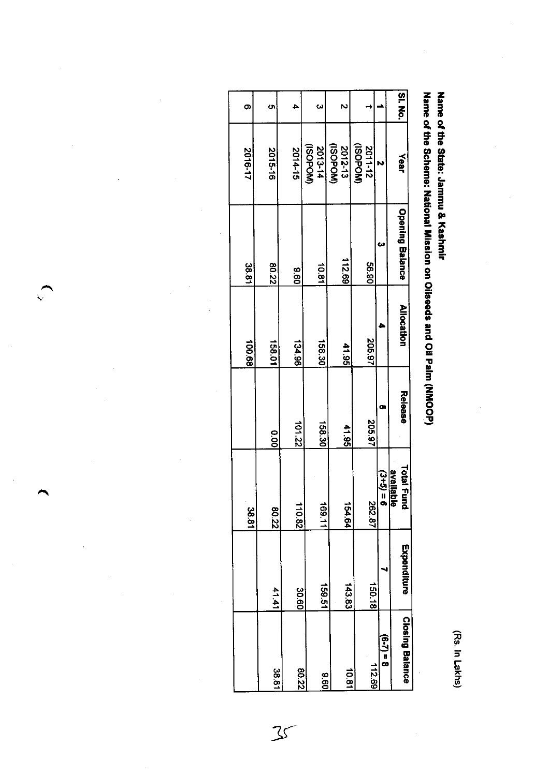(Rs. In Lakhs)

 $\hat{\boldsymbol{\beta}}$ 

Name of the State: Jammu & Kashmir

 $\ddot{\phantom{a}}$ 

Name of the Scheme: National Mission on Oilseeds and Oil Palm (NMOOP)

|                        |             | 38.81                                              |                | 100.68            | 18.81           | 2016-17                          | σ               |
|------------------------|-------------|----------------------------------------------------|----------------|-------------------|-----------------|----------------------------------|-----------------|
| 18.85                  | 41.41       | 80.22                                              | 0.00           | 158.01            | 27.08           | 2015-16                          | c۳              |
| 80.22                  | 30.60       | 110.82                                             | 101.22         | 134.96            | 09.60           | 2014-15                          |                 |
|                        | 159.51      | 169.11                                             | 158.30         | 158.30            | 10.81           | 2013-14<br>2013-14               | ω               |
| 09.6                   | 143.83      | 154.64                                             | 41.95          | 41.95             | 112.69          | 2012-13<br>(ISOPOM)              | N               |
| 112.69<br>10.81        | 150.18      | 262.87                                             | 205.97         | 205.97            | 06.99           | (NO <sub>d</sub> OSI)<br>2011-12 |                 |
| $(6-7) = 8$            |             | $(3+5) =$<br>O)                                    | Ù.             |                   | ш               |                                  |                 |
| <b>Closing Balance</b> | Expenditure | Total Ful<br>availabl<br>定<br>$\overline{\bullet}$ | <b>Release</b> | <b>Allocation</b> | Opening Balance | Year                             | <b>ISI. No.</b> |

 $\mathcal{Z}$ 

 $\frac{1}{\sqrt{2}}$ 

 $\hat{\boldsymbol{\beta}}$ 

 $\frac{1}{2}$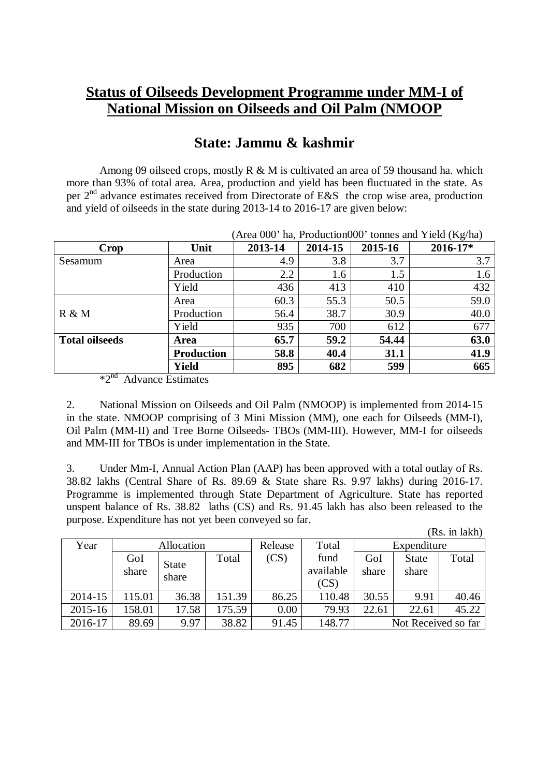## **Status of Oilseeds Development Programme under MM-I of National Mission on Oilseeds and Oil Palm (NMOOP**

## **State: Jammu & kashmir**

Among 09 oilseed crops, mostly R & M is cultivated an area of 59 thousand ha. which more than 93% of total area. Area, production and yield has been fluctuated in the state. As per  $2<sup>nd</sup>$  advance estimates received from Directorate of E&S the crop wise area, production and yield of oilseeds in the state during 2013-14 to 2016-17 are given below:

|                       |                   | $\Gamma$ and $\Gamma$ and $\Gamma$ are contribution to the same $\Gamma$ and $\Gamma$ and $\Gamma$ and $\Gamma$ |         |         |          |  |
|-----------------------|-------------------|-----------------------------------------------------------------------------------------------------------------|---------|---------|----------|--|
| Crop                  | Unit              | 2013-14                                                                                                         | 2014-15 | 2015-16 | 2016-17* |  |
| Sesamum               | Area              | 4.9                                                                                                             | 3.8     | 3.7     | 3.7      |  |
|                       | Production        | 2.2                                                                                                             | 1.6     | 1.5     | 1.6      |  |
|                       | Yield             | 436                                                                                                             | 413     | 410     | 432      |  |
|                       | Area              | 60.3                                                                                                            | 55.3    | 50.5    | 59.0     |  |
| R & M                 | Production        | 56.4                                                                                                            | 38.7    | 30.9    | 40.0     |  |
|                       | Yield             | 935                                                                                                             | 700     | 612     | 677      |  |
| <b>Total oilseeds</b> | Area              | 65.7                                                                                                            | 59.2    | 54.44   | 63.0     |  |
|                       | <b>Production</b> | 58.8                                                                                                            | 40.4    | 31.1    | 41.9     |  |
|                       | Yield             | 895                                                                                                             | 682     | 599     | 665      |  |

 $(A_{\text{real}})$  (Area 000' ha, Production000' tonnes and Yield  $(K_{\alpha}/h_a)$ )

\*2nd Advance Estimates

2. National Mission on Oilseeds and Oil Palm (NMOOP) is implemented from 2014-15 in the state. NMOOP comprising of 3 Mini Mission (MM), one each for Oilseeds (MM-I), Oil Palm (MM-II) and Tree Borne Oilseeds- TBOs (MM-III). However, MM-I for oilseeds and MM-III for TBOs is under implementation in the State.

3. Under Mm-I, Annual Action Plan (AAP) has been approved with a total outlay of Rs. 38.82 lakhs (Central Share of Rs. 89.69 & State share Rs. 9.97 lakhs) during 2016-17. Programme is implemented through State Department of Agriculture. State has reported unspent balance of Rs. 38.82 laths (CS) and Rs. 91.45 lakh has also been released to the purpose. Expenditure has not yet been conveyed so far.

(Rs. in lakh)

| Year    | Allocation |              |        | Release | Total     | Expenditure         |              |       |
|---------|------------|--------------|--------|---------|-----------|---------------------|--------------|-------|
|         | GoI        | <b>State</b> | Total  | (CS)    | fund      | GoI                 | <b>State</b> | Total |
|         | share      | share        |        |         | available | share               | share        |       |
|         |            |              |        |         | (CS)      |                     |              |       |
| 2014-15 | 115.01     | 36.38        | 151.39 | 86.25   | 110.48    | 30.55               | 9.91         | 40.46 |
| 2015-16 | 158.01     | 17.58        | 175.59 | 0.00    | 79.93     | 22.61               | 22.61        | 45.22 |
| 2016-17 | 89.69      | 9.97         | 38.82  | 91.45   | 148.77    | Not Received so far |              |       |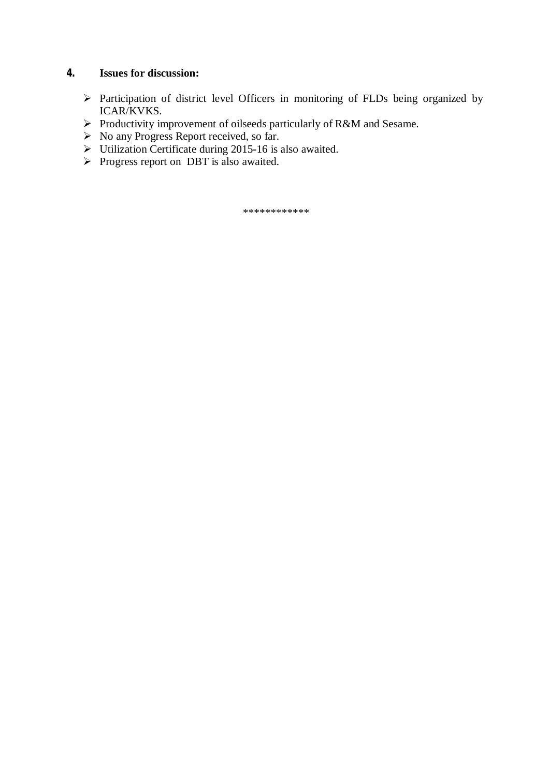#### **4. Issues for discussion:**

- Participation of district level Officers in monitoring of FLDs being organized by ICAR/KVKS.
- Productivity improvement of oilseeds particularly of R&M and Sesame.
- No any Progress Report received, so far.
- $\triangleright$  Utilization Certificate during 2015-16 is also awaited.
- $\triangleright$  Progress report on DBT is also awaited.

\*\*\*\*\*\*\*\*\*\*\*\*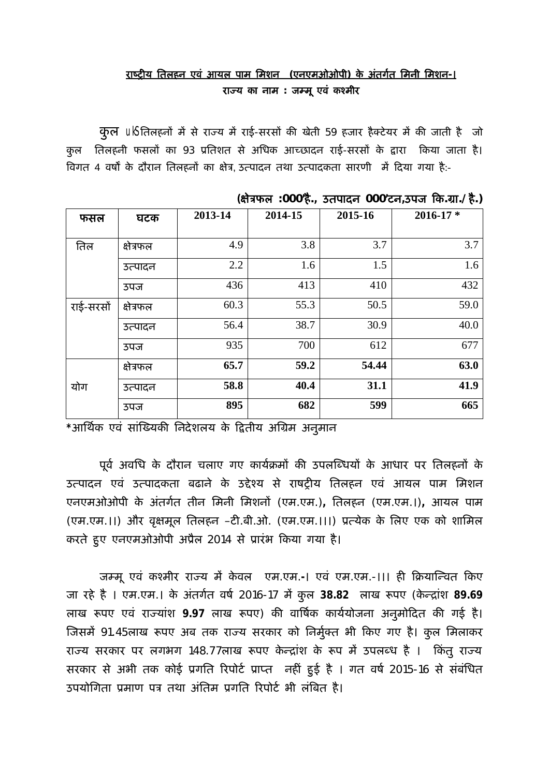### **राç Ěȣय ितलहन एवं आयल पाम िमशन (एनएमओओपी) के अंतग[त िमनी िमशन-। राÏ य का नाम : जà मू एवं कæ मीर**

कुल ul जिलहनों में से राज्य में राई-सरसों की खेती 59 हजार हैक्टेयर में की जाती है जो कुल तिलहनी फसलों का 93 प्रतिशत से अधिक आच्छादन राई-सरसों के द्वारा किया जाता है। विगत 4 वर्षों के दौरान तिलहनों का क्षेत्र, उत्पादन तथा उत्पादकता सारणी में दिया गया है:-

|           |           |         | $\ddotsc$ |         |               |
|-----------|-----------|---------|-----------|---------|---------------|
| फसल       | घटक       | 2013-14 | 2014-15   | 2015-16 | $2016 - 17$ * |
| तिल       | क्षेत्रफल | 4.9     | 3.8       | 3.7     | 3.7           |
|           | उत्पादन   | 2.2     | 1.6       | 1.5     | 1.6           |
|           | उपज       | 436     | 413       | 410     | 432           |
| राई-सरसों | क्षेत्रफल | 60.3    | 55.3      | 50.5    | 59.0          |
|           | उत्पादन   | 56.4    | 38.7      | 30.9    | 40.0          |
|           | उपज       | 935     | 700       | 612     | 677           |
|           | क्षेत्रफल | 65.7    | 59.2      | 54.44   | 63.0          |
| योग       | उत्पादन   | 58.8    | 40.4      | 31.1    | 41.9          |
|           | उपज       | 895     | 682       | 599     | 665           |

**(¢ेğफल :000'है., उतपादन 000'टन,उपज Ǒक.Ēा./है.)**

**\***आिथ[क एवं सांǔÉयकȧ िनदेशलय के ǑƮतीय अिĒम अनुमान

पूर्व अवधि के दौरान चलाए गए कार्यक्रमों की उपलब्धियों के आधार पर तिलहनों के उत्पादन एवं उत्पादकता बढाने के उद्देश्य से राषट्रीय तिलहन एवं आयल पाम मिशन एनएमओओपी के अंतग[त तीन िमनी िमशनɉ (एम.एम.)**,** ितलहन (एम.एम.।)**,** आयल पाम (एम.एम.।।) और वृक्षमूल तिलहन –टी.बी.ओ. (एम.एम.।।।) प्रत्येक के लिए एक को शामिल करते हुए एनएमओओपी अप्रैल 2014 से प्रारंभ किया गया है।

जम्मू एवं कश्मीर राज्य में केवल एम.एम.-। एवं एम.एम.-।।। ही क्रियान्वित किए जा रहे है । एम.एम.। के अंतर्गत वर्ष 2016-17 में कुल 38.82 लाख रूपए (केन्द्रांश 89.69 लाख रूपए एवं राज्यांश 9.97 लाख रूपए) की वार्षिक कार्ययोजना अनुमोदित की गई है। जिसमें 91.45लाख रूपए अब तक राज्य सरकार को निर्मुक्त भी किए गए है। कुल मिलाकर राज्य सरकार पर लगभग 148.77लाख रूपए केन्द्रांश के रूप में उपलब्ध है । किंतू राज्य सरकार से अभी तक कोई प्रगति रिपोर्ट प्राप्त नहीं हुई है । गत वर्ष 2015-16 से संबंधित उपयोगिता प्रमाण पत्र तथा अंतिम प्रगति रिपोर्ट भी लंबित है।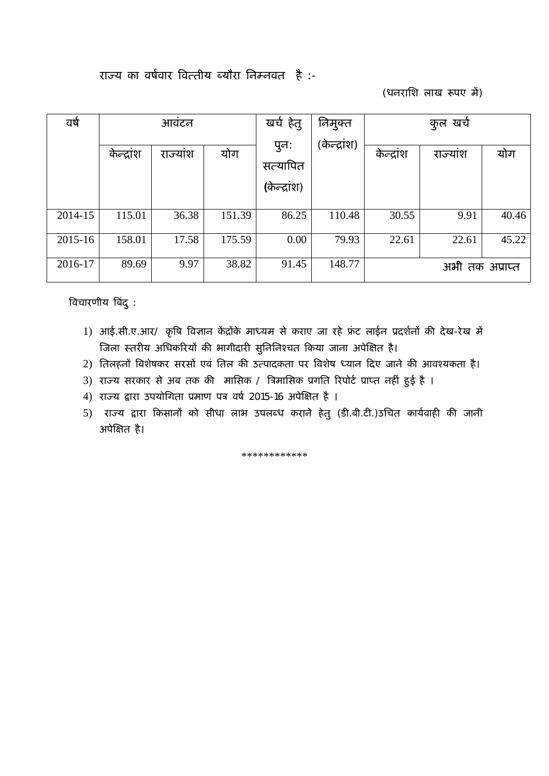राज्य का वर्षवार वित्तीय ब्यौरा निम्नवत है :-

(धनराशि लाख रूपए में)

| वर्ष    | आवटन       |         | खर्च हेतु | निमुक्त      |              |            |                 |       |
|---------|------------|---------|-----------|--------------|--------------|------------|-----------------|-------|
|         | केन्द्रांश | राज्याश | योग       | पुन:         | (केन्द्रांश) | केन्द्रांश | राज्याश         | योग   |
|         |            |         |           | सत्यापित     |              |            |                 |       |
|         |            |         |           | (केन्द्रांश) |              |            |                 |       |
| 2014-15 | 115.01     | 36.38   | 151.39    | 86.25        | 110.48       | 30.55      | 9.91            | 40.46 |
| 2015-16 | 158.01     | 17.58   | 175.59    | 0.00         | 79.93        | 22.61      | 22.61           | 45.22 |
| 2016-17 | 89.69      | 9.97    | 38.82     | 91.45        | 148.77       |            | अभी तक अप्राप्त |       |

ǒवचारणीय ǒबंदु :

- 1) आई.सी.ए.आर/ कृषि विज्ञान केंद्रोंके माध्यम से कराए जा रहे फ्रंट लाईन प्रदर्शनों की देख-रेख में जिला स्तरीय अधिकरियों की भागीदारी सुनिनिश्चत किया जाना अपेक्षित है।
- 2) तिलहनों विशेषकर सरसों एवं तिल की उत्पादकता पर विशेष ध्यान दिए जाने की आवश्यकता है।
- 3) राज्य सरकार से अब तक की मासिक / त्रिमासिक प्रगति रिपोर्ट प्राप्त नहीं हुई है ।
- 4) राज्य द्वारा उपयोगिता प्रमाण पत्र वर्ष 2015-16 अपेक्षित है ।
- 5) राज्य द्वारा किसानों को सीधा लाभ उपलब्ध कराने हेतु (डी.बी.टी.)उचित कार्यवाही की जानी अपेक्षित है।

\*\*\*\*\*\*\*\*\*\*\*\*